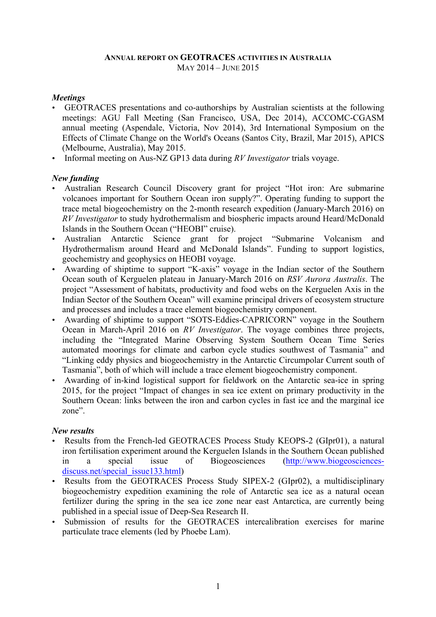### **ANNUAL REPORT ON GEOTRACES ACTIVITIES IN AUSTRALIA** MAY 2014 – JUNE 2015

## *Meetings*

- GEOTRACES presentations and co-authorships by Australian scientists at the following meetings: AGU Fall Meeting (San Francisco, USA, Dec 2014), ACCOMC-CGASM annual meeting (Aspendale, Victoria, Nov 2014), 3rd International Symposium on the Effects of Climate Change on the World's Oceans (Santos City, Brazil, Mar 2015), APICS (Melbourne, Australia), May 2015.
- Informal meeting on Aus-NZ GP13 data during *RV Investigator* trials voyage.

# *New funding*

- Australian Research Council Discovery grant for project "Hot iron: Are submarine volcanoes important for Southern Ocean iron supply?". Operating funding to support the trace metal biogeochemistry on the 2-month research expedition (January-March 2016) on *RV Investigator* to study hydrothermalism and biospheric impacts around Heard/McDonald Islands in the Southern Ocean ("HEOBI" cruise).
- Australian Antarctic Science grant for project "Submarine Volcanism and Hydrothermalism around Heard and McDonald Islands". Funding to support logistics, geochemistry and geophysics on HEOBI voyage.
- Awarding of shiptime to support "K-axis" voyage in the Indian sector of the Southern Ocean south of Kerguelen plateau in January-March 2016 on *RSV Aurora Australis*. The project "Assessment of habitats, productivity and food webs on the Kerguelen Axis in the Indian Sector of the Southern Ocean" will examine principal drivers of ecosystem structure and processes and includes a trace element biogeochemistry component.
- Awarding of shiptime to support "SOTS-Eddies-CAPRICORN" voyage in the Southern Ocean in March-April 2016 on *RV Investigator*. The voyage combines three projects, including the "Integrated Marine Observing System Southern Ocean Time Series automated moorings for climate and carbon cycle studies southwest of Tasmania" and "Linking eddy physics and biogeochemistry in the Antarctic Circumpolar Current south of Tasmania", both of which will include a trace element biogeochemistry component.
- Awarding of in-kind logistical support for fieldwork on the Antarctic sea-ice in spring 2015, for the project "Impact of changes in sea ice extent on primary productivity in the Southern Ocean: links between the iron and carbon cycles in fast ice and the marginal ice zone".

## *New results*

- Results from the French-led GEOTRACES Process Study KEOPS-2 (GIpr01), a natural iron fertilisation experiment around the Kerguelen Islands in the Southern Ocean published in a special issue of Biogeosciences (http://www.biogeosciencesdiscuss.net/special\_issue133.html)
- Results from the GEOTRACES Process Study SIPEX-2 (GIpr02), a multidisciplinary biogeochemistry expedition examining the role of Antarctic sea ice as a natural ocean fertilizer during the spring in the sea ice zone near east Antarctica, are currently being published in a special issue of Deep-Sea Research II.
- Submission of results for the GEOTRACES intercalibration exercises for marine particulate trace elements (led by Phoebe Lam).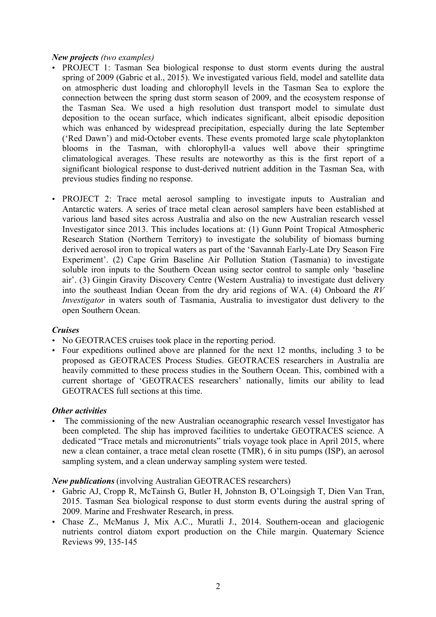#### *New projects (two examples)*

- PROJECT 1: Tasman Sea biological response to dust storm events during the austral spring of 2009 (Gabric et al., 2015). We investigated various field, model and satellite data on atmospheric dust loading and chlorophyll levels in the Tasman Sea to explore the connection between the spring dust storm season of 2009, and the ecosystem response of the Tasman Sea. We used a high resolution dust transport model to simulate dust deposition to the ocean surface, which indicates significant, albeit episodic deposition which was enhanced by widespread precipitation, especially during the late September ('Red Dawn') and mid-October events. These events promoted large scale phytoplankton blooms in the Tasman, with chlorophyll-a values well above their springtime climatological averages. These results are noteworthy as this is the first report of a significant biological response to dust-derived nutrient addition in the Tasman Sea, with previous studies finding no response.
- PROJECT 2: Trace metal aerosol sampling to investigate inputs to Australian and Antarctic waters. A series of trace metal clean aerosol samplers have been established at various land based sites across Australia and also on the new Australian research vessel Investigator since 2013. This includes locations at: (1) Gunn Point Tropical Atmospheric Research Station (Northern Territory) to investigate the solubility of biomass burning derived aerosol iron to tropical waters as part of the 'Savannah Early-Late Dry Season Fire Experiment'. (2) Cape Grim Baseline Air Pollution Station (Tasmania) to investigate soluble iron inputs to the Southern Ocean using sector control to sample only 'baseline air'. (3) Gingin Gravity Discovery Centre (Western Australia) to investigate dust delivery into the southeast Indian Ocean from the dry arid regions of WA. (4) Onboard the *RV Investigator* in waters south of Tasmania, Australia to investigator dust delivery to the open Southern Ocean.

## *Cruises*

- No GEOTRACES cruises took place in the reporting period.
- Four expeditions outlined above are planned for the next 12 months, including 3 to be proposed as GEOTRACES Process Studies. GEOTRACES researchers in Australia are heavily committed to these process studies in the Southern Ocean. This, combined with a current shortage of 'GEOTRACES researchers' nationally, limits our ability to lead GEOTRACES full sections at this time.

#### *Other activities*

The commissioning of the new Australian oceanographic research vessel Investigator has been completed. The ship has improved facilities to undertake GEOTRACES science. A dedicated "Trace metals and micronutrients" trials voyage took place in April 2015, where new a clean container, a trace metal clean rosette (TMR), 6 in situ pumps (ISP), an aerosol sampling system, and a clean underway sampling system were tested.

#### *New publications* (involving Australian GEOTRACES researchers)

- Gabric AJ, Cropp R, McTainsh G, Butler H, Johnston B, O'Loingsigh T, Dien Van Tran, 2015. Tasman Sea biological response to dust storm events during the austral spring of 2009. Marine and Freshwater Research, in press.
- Chase Z., McManus J, Mix A.C., Muratli J., 2014. Southern-ocean and glaciogenic nutrients control diatom export production on the Chile margin. Quaternary Science Reviews 99, 135-145